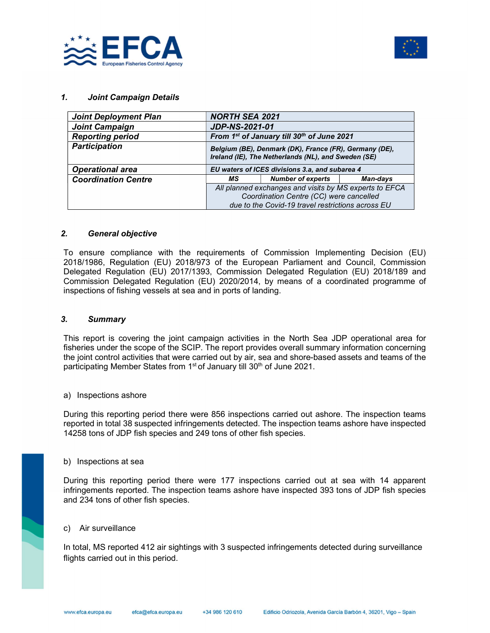



## 1. Joint Campaign Details

| <b>Joint Deployment Plan</b> | <b>NORTH SEA 2021</b>                                                                                                                                  |                                                                                                               |          |  |  |
|------------------------------|--------------------------------------------------------------------------------------------------------------------------------------------------------|---------------------------------------------------------------------------------------------------------------|----------|--|--|
| <b>Joint Campaign</b>        | <b>JDP-NS-2021-01</b>                                                                                                                                  |                                                                                                               |          |  |  |
| <b>Reporting period</b>      |                                                                                                                                                        | From 1st of January till 30th of June 2021                                                                    |          |  |  |
| <b>Participation</b>         |                                                                                                                                                        | Belgium (BE), Denmark (DK), France (FR), Germany (DE),<br>Ireland (IE), The Netherlands (NL), and Sweden (SE) |          |  |  |
| <b>Operational area</b>      | EU waters of ICES divisions 3.a, and subarea 4                                                                                                         |                                                                                                               |          |  |  |
| <b>Coordination Centre</b>   | МS                                                                                                                                                     | <b>Number of experts</b>                                                                                      | Man-days |  |  |
|                              | All planned exchanges and visits by MS experts to EFCA<br>Coordination Centre (CC) were cancelled<br>due to the Covid-19 travel restrictions across EU |                                                                                                               |          |  |  |

### 2. General objective

To ensure compliance with the requirements of Commission Implementing Decision (EU) 2018/1986, Regulation (EU) 2018/973 of the European Parliament and Council, Commission Delegated Regulation (EU) 2017/1393, Commission Delegated Regulation (EU) 2018/189 and Commission Delegated Regulation (EU) 2020/2014, by means of a coordinated programme of inspections of fishing vessels at sea and in ports of landing.

#### 3. Summary

This report is covering the joint campaign activities in the North Sea JDP operational area for fisheries under the scope of the SCIP. The report provides overall summary information concerning the joint control activities that were carried out by air, sea and shore-based assets and teams of the participating Member States from 1<sup>st</sup> of January till 30<sup>th</sup> of June 2021.

#### a) Inspections ashore

During this reporting period there were 856 inspections carried out ashore. The inspection teams reported in total 38 suspected infringements detected. The inspection teams ashore have inspected 14258 tons of JDP fish species and 249 tons of other fish species.

#### b) Inspections at sea

During this reporting period there were 177 inspections carried out at sea with 14 apparent infringements reported. The inspection teams ashore have inspected 393 tons of JDP fish species and 234 tons of other fish species.

# c) Air surveillance

In total, MS reported 412 air sightings with 3 suspected infringements detected during surveillance flights carried out in this period.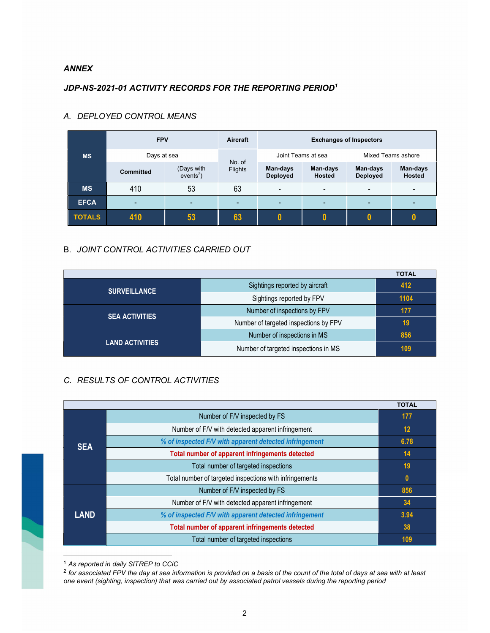## ANNEX

# JDP-NS-2021-01 ACTIVITY RECORDS FOR THE REPORTING PERIOD<sup>1</sup>

|               | <b>FPV</b>       |                           | Aircraft          | <b>Exchanges of Inspectors</b> |                           |                             |                    |
|---------------|------------------|---------------------------|-------------------|--------------------------------|---------------------------|-----------------------------|--------------------|
| <b>MS</b>     | Days at sea      |                           |                   | Joint Teams at sea             |                           | Mixed Teams ashore          |                    |
|               | <b>Committed</b> | (Days with<br>$events2$ ) | No. of<br>Flights | Man-days<br><b>Deployed</b>    | Man-days<br><b>Hosted</b> | Man-days<br><b>Deployed</b> | Man-days<br>Hosted |
| <b>MS</b>     | 410              | 53                        | 63                | $\overline{\phantom{0}}$       | -                         | -                           |                    |
| <b>EFCA</b>   | $\blacksquare$   | $\overline{\phantom{0}}$  | -                 |                                |                           |                             |                    |
| <b>TOTALS</b> | 410              | 53                        | 63                |                                |                           |                             |                    |

# A. DEPLOYED CONTROL MEANS

# B. JOINT CONTROL ACTIVITIES CARRIED OUT

|                        |                                       | <b>TOTAL</b> |
|------------------------|---------------------------------------|--------------|
| <b>SURVEILLANCE</b>    | Sightings reported by aircraft        | 412          |
|                        | Sightings reported by FPV             | 1104         |
|                        | Number of inspections by FPV          | 177          |
| <b>SEA ACTIVITIES</b>  | Number of targeted inspections by FPV | 19           |
|                        | Number of inspections in MS           | 856          |
| <b>LAND ACTIVITIES</b> | Number of targeted inspections in MS  | 109          |

# C. RESULTS OF CONTROL ACTIVITIES

|             |                                                         | <b>TOTAL</b> |
|-------------|---------------------------------------------------------|--------------|
| <b>SEA</b>  | Number of F/V inspected by FS                           | 177          |
|             | Number of F/V with detected apparent infringement       | 12           |
|             | % of inspected F/V with apparent detected infringement  | 6.78         |
|             | Total number of apparent infringements detected         | 14           |
|             | Total number of targeted inspections                    | 19           |
|             | Total number of targeted inspections with infringements | $\bf{0}$     |
| <b>LAND</b> | Number of F/V inspected by FS                           | 856          |
|             | Number of F/V with detected apparent infringement       | 34           |
|             | % of inspected F/V with apparent detected infringement  | 3.94         |
|             | Total number of apparent infringements detected         | 38           |
|             | Total number of targeted inspections                    | 109          |

<sup>1</sup> As reported in daily SITREP to CCiC

 $^2$  for associated FPV the day at sea information is provided on a basis of the count of the total of days at sea with at least one event (sighting, inspection) that was carried out by associated patrol vessels during the reporting period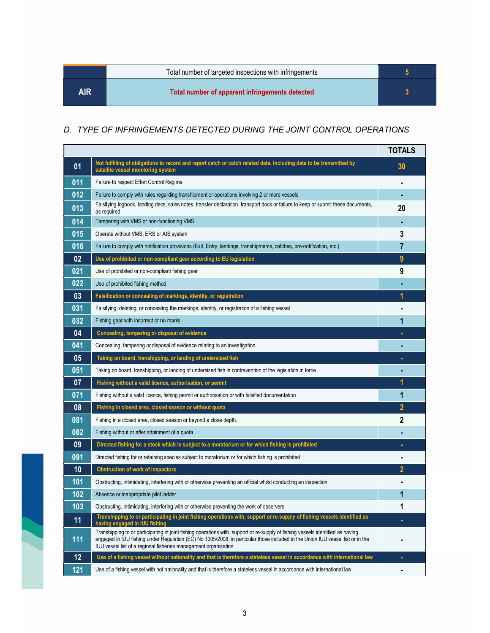|      | Total number of targeted inspections with infringements |  |
|------|---------------------------------------------------------|--|
| AIR. | Total number of apparent infringements detected         |  |

# D. TYPE OF INFRINGEMENTS DETECTED DURING THE JOINT CONTROL OPERATIONS

|     |                                                                                                                                                                                                                                                                                                                                      | <b>TOTALS</b>  |
|-----|--------------------------------------------------------------------------------------------------------------------------------------------------------------------------------------------------------------------------------------------------------------------------------------------------------------------------------------|----------------|
| 01  | Not fulfilling of obligations to record and report catch or catch related data, including data to be transmitted by<br>satellite vessel monitoring system                                                                                                                                                                            | 30             |
| 011 | Failure to respect Effort Control Regime                                                                                                                                                                                                                                                                                             |                |
| 012 | Failure to comply with rules regarding transhipment or operations involving 2 or more vessels                                                                                                                                                                                                                                        |                |
| 013 | Falsifying logbook, landing decs, sales notes, transfer declaration, transport docs or failure to keep or submit these documents,<br>as required                                                                                                                                                                                     | 20             |
| 014 | Tampering with VMS or non-functioning VMS                                                                                                                                                                                                                                                                                            |                |
| 015 | Operate without VMS, ERS or AIS system                                                                                                                                                                                                                                                                                               | 3              |
| 016 | Failure to comply with notification provisions (Exit, Entry, landings, transhipments, catches, pre-notification, etc.)                                                                                                                                                                                                               | 7              |
| 02  | Use of prohibited or non-compliant gear according to EU legislation                                                                                                                                                                                                                                                                  | 9              |
| 021 | Use of prohibited or non-compliant fishing gear                                                                                                                                                                                                                                                                                      | 9              |
| 022 | Use of prohibited fishing method                                                                                                                                                                                                                                                                                                     |                |
| 03  | Falsification or concealing of markings, identity, or registration                                                                                                                                                                                                                                                                   |                |
| 031 | Falsifying, deleting, or concealing the markings, identity, or registration of a fishing vessel                                                                                                                                                                                                                                      |                |
| 032 | Fishing gear with incorrect or no marks                                                                                                                                                                                                                                                                                              | 1              |
| 04  | Concealing, tampering or disposal of evidence                                                                                                                                                                                                                                                                                        |                |
| 041 | Concealing, tampering or disposal of evidence relating to an investigation                                                                                                                                                                                                                                                           |                |
| 05  | Taking on board, transhipping, or landing of undersized fish                                                                                                                                                                                                                                                                         |                |
| 051 | Taking on board, transhipping, or landing of undersized fish in contravention of the legislation in force                                                                                                                                                                                                                            |                |
| 07  | Fishing without a valid licence, authorisation, or permit                                                                                                                                                                                                                                                                            | 1              |
| 071 | Fishing without a valid licence, fishing permit or authorisation or with falsified documentation                                                                                                                                                                                                                                     | 1              |
| 08  | Fishing in closed area, closed season or without quota                                                                                                                                                                                                                                                                               | $\overline{2}$ |
| 081 | Fishing in a closed area, closed season or beyond a close depth.                                                                                                                                                                                                                                                                     | 2              |
| 082 | Fishing without or after attainment of a quota                                                                                                                                                                                                                                                                                       |                |
| 09  | Directed fishing for a stock which is subject to a moratorium or for which fishing is prohibited                                                                                                                                                                                                                                     |                |
| 091 | Directed fishing for or retaining species subject to moratorium or for which fishing is prohibited                                                                                                                                                                                                                                   |                |
| 10  | <b>Obstruction of work of inspectors</b>                                                                                                                                                                                                                                                                                             | 2              |
| 101 | Obstructing, intimidating, interfering with or otherwise preventing an official whilst conducting an inspection                                                                                                                                                                                                                      |                |
| 102 | Absence or inappropriate pilot ladder                                                                                                                                                                                                                                                                                                | 1              |
| 103 | Obstructing, intimidating, interfering with or otherwise preventing the work of observers                                                                                                                                                                                                                                            | 1              |
| 11  | Transhipping to or participating in joint fishing operations with, support or re-supply of fishing vessels identified as<br>having engaged in IUU fishing                                                                                                                                                                            | ٠              |
| 111 | Transhipping to or participating in joint fishing operations with, support or re-supply of fishing vessels identified as having<br>engaged in IUU fishing under Regulation (EC) No 1005/2008, in particular those included in the Union IUU vessel list or in the<br>IUU vessel list of a regional fisheries management organisation |                |
| 12  | Use of a fishing vessel without nationality and that is therefore a stateless vessel in accordance with international law                                                                                                                                                                                                            | ٠              |
| 121 | Use of a fishing vessel with not nationality and that is therefore a stateless vessel in accordance with international law                                                                                                                                                                                                           | ٠              |

i.